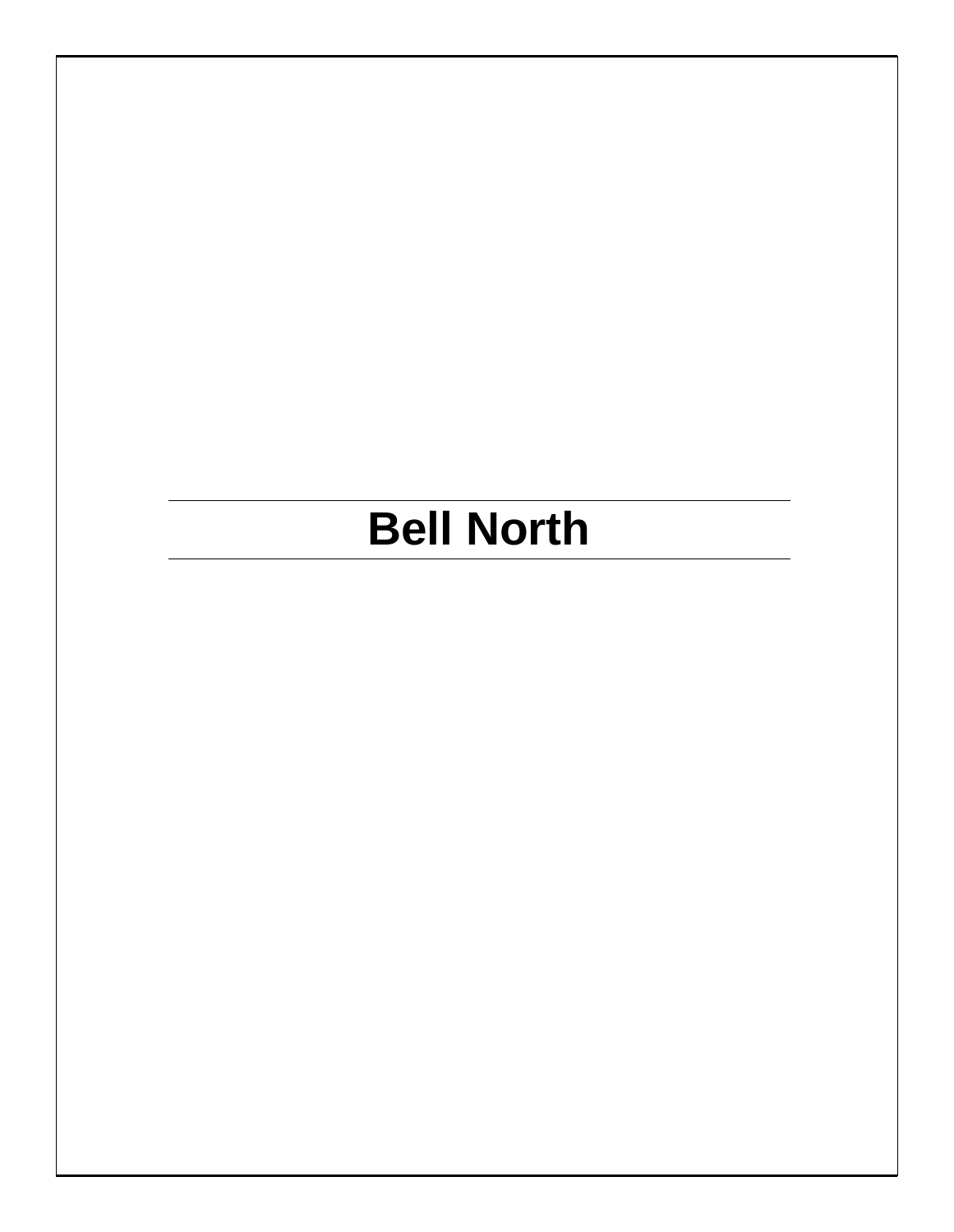# **Bell North**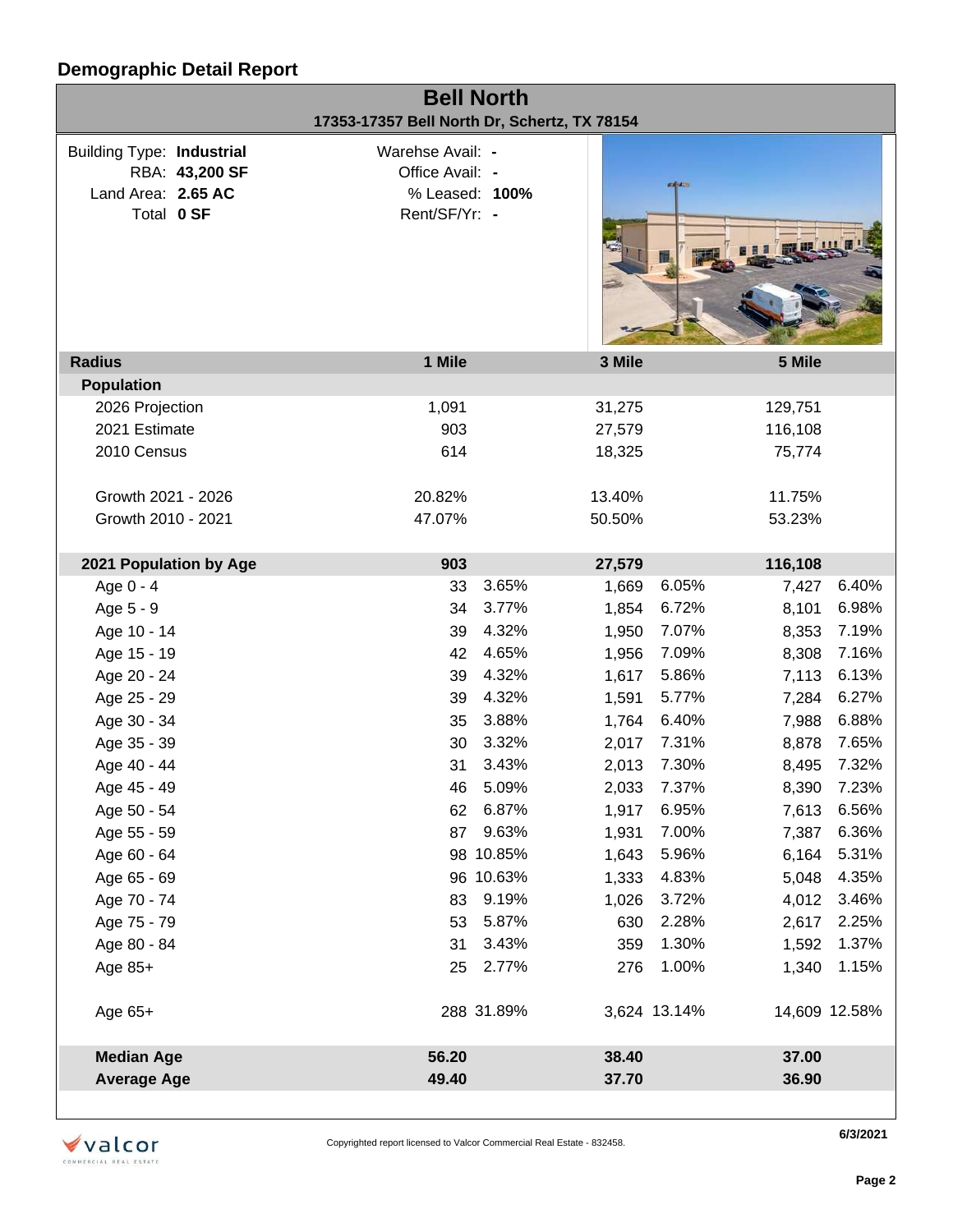| <b>Bell North</b><br>17353-17357 Bell North Dr, Schertz, TX 78154                      |                                                                        |                |                               |       |  |  |  |
|----------------------------------------------------------------------------------------|------------------------------------------------------------------------|----------------|-------------------------------|-------|--|--|--|
| <b>Building Type: Industrial</b><br>RBA: 43,200 SF<br>Land Area: 2.65 AC<br>Total 0 SF | Warehse Avail: -<br>Office Avail: -<br>% Leased: 100%<br>Rent/SF/Yr: - |                | <b>KANADIA</b>                |       |  |  |  |
| <b>Radius</b>                                                                          | 1 Mile                                                                 | 3 Mile         | 5 Mile                        |       |  |  |  |
| <b>Population</b>                                                                      |                                                                        |                |                               |       |  |  |  |
| 2026 Projection                                                                        | 1,091                                                                  | 31,275         | 129,751                       |       |  |  |  |
| 2021 Estimate                                                                          | 903                                                                    | 27,579         | 116,108                       |       |  |  |  |
| 2010 Census                                                                            | 614                                                                    | 18,325         | 75,774                        |       |  |  |  |
| Growth 2021 - 2026                                                                     | 20.82%                                                                 | 13.40%         | 11.75%                        |       |  |  |  |
| Growth 2010 - 2021                                                                     | 47.07%                                                                 | 50.50%         | 53.23%                        |       |  |  |  |
| 2021 Population by Age                                                                 | 903                                                                    | 27,579         | 116,108                       |       |  |  |  |
| Age 0 - 4                                                                              | 33                                                                     | 3.65%<br>1,669 | 6.05%<br>7,427                | 6.40% |  |  |  |
| Age 5 - 9                                                                              | 34                                                                     | 3.77%<br>1,854 | 6.72%<br>8,101                | 6.98% |  |  |  |
| Age 10 - 14                                                                            | 39                                                                     | 4.32%<br>1,950 | 7.07%<br>8,353                | 7.19% |  |  |  |
| Age 15 - 19                                                                            | 42                                                                     | 4.65%<br>1,956 | 7.09%<br>8,308                | 7.16% |  |  |  |
| Age 20 - 24                                                                            | 39                                                                     | 4.32%<br>1,617 | 5.86%<br>7,113                | 6.13% |  |  |  |
| Age 25 - 29                                                                            | 39                                                                     | 4.32%<br>1,591 | 5.77%<br>7,284                | 6.27% |  |  |  |
| Age 30 - 34                                                                            | 35                                                                     | 3.88%<br>1,764 | 6.40%<br>7,988                | 6.88% |  |  |  |
| Age 35 - 39                                                                            | 3.32%<br>30                                                            | 2,017          | 7.31%<br>8,878                | 7.65% |  |  |  |
| Age 40 - 44                                                                            | 31                                                                     | 3.43%<br>2,013 | 7.30%<br>8,495                | 7.32% |  |  |  |
| Age 45 - 49                                                                            | 46 5.09%                                                               |                | 2,033 7.37%<br>8,390 7.23%    |       |  |  |  |
| Age 50 - 54                                                                            | 62                                                                     | 6.87%<br>1,917 | 6.95%<br>7,613                | 6.56% |  |  |  |
| Age 55 - 59                                                                            | 87                                                                     | 9.63%<br>1,931 | 7.00%<br>7,387                | 6.36% |  |  |  |
| Age 60 - 64                                                                            | 98 10.85%                                                              | 1,643          | 5.96%<br>6,164                | 5.31% |  |  |  |
| Age 65 - 69                                                                            | 96 10.63%                                                              | 1,333          | 4.83%<br>5,048                | 4.35% |  |  |  |
| Age 70 - 74                                                                            | 83                                                                     | 9.19%<br>1,026 | 3.72%<br>4,012                | 3.46% |  |  |  |
| Age 75 - 79                                                                            | 53                                                                     | 5.87%<br>630   | 2.28%<br>2,617                | 2.25% |  |  |  |
| Age 80 - 84                                                                            | 31                                                                     | 3.43%<br>359   | 1.30%<br>1,592                | 1.37% |  |  |  |
| Age 85+                                                                                | 25                                                                     | 2.77%<br>276   | 1.00%<br>1,340                | 1.15% |  |  |  |
| Age 65+                                                                                | 288 31.89%                                                             |                | 3,624 13.14%<br>14,609 12.58% |       |  |  |  |
| <b>Median Age</b>                                                                      | 56.20                                                                  | 38.40          | 37.00                         |       |  |  |  |
| <b>Average Age</b>                                                                     | 49.40                                                                  | 37.70          | 36.90                         |       |  |  |  |
|                                                                                        |                                                                        |                |                               |       |  |  |  |



**6/3/2021**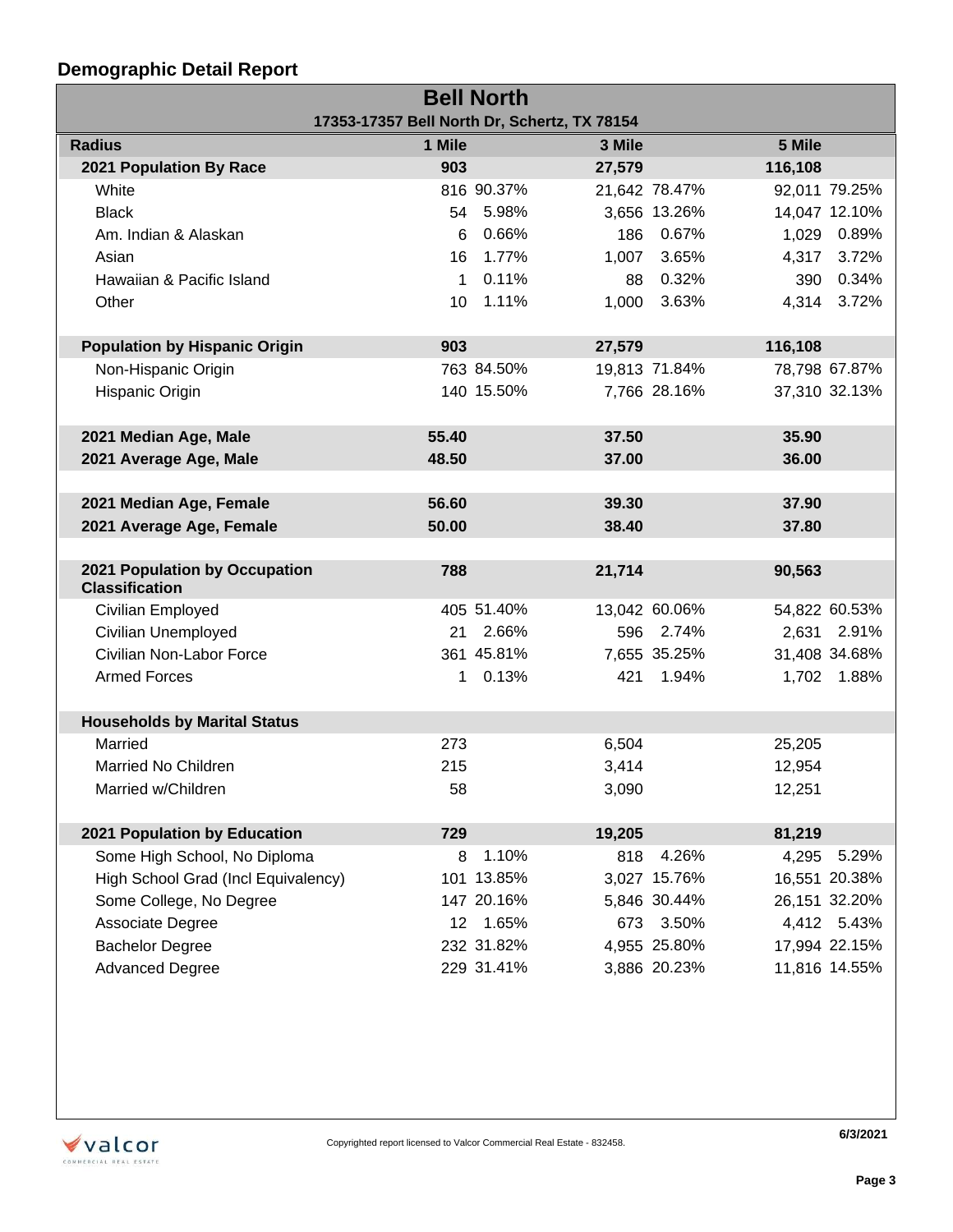| <b>Bell North</b>                            |                 |            |        |               |         |               |
|----------------------------------------------|-----------------|------------|--------|---------------|---------|---------------|
| 17353-17357 Bell North Dr, Schertz, TX 78154 |                 |            |        |               |         |               |
| <b>Radius</b>                                | 1 Mile          |            | 3 Mile |               | 5 Mile  |               |
| 2021 Population By Race                      | 903             |            | 27,579 |               | 116,108 |               |
| White                                        |                 | 816 90.37% |        | 21,642 78.47% |         | 92,011 79.25% |
| <b>Black</b>                                 |                 | 54 5.98%   |        | 3,656 13.26%  |         | 14,047 12.10% |
| Am. Indian & Alaskan                         | 6               | 0.66%      |        | 186 0.67%     |         | 1,029 0.89%   |
| Asian                                        | 16              | 1.77%      | 1,007  | 3.65%         | 4,317   | 3.72%         |
| Hawaiian & Pacific Island                    | $\mathbf{1}$    | 0.11%      | 88     | 0.32%         |         | 390 0.34%     |
| Other                                        | 10              | 1.11%      |        | 1,000 3.63%   |         | 4,314 3.72%   |
|                                              |                 |            |        |               |         |               |
| <b>Population by Hispanic Origin</b>         | 903             |            | 27,579 |               | 116,108 |               |
| Non-Hispanic Origin                          |                 | 763 84.50% |        | 19,813 71.84% |         | 78,798 67.87% |
| Hispanic Origin                              |                 | 140 15.50% |        | 7,766 28.16%  |         | 37,310 32.13% |
|                                              |                 |            |        |               |         |               |
| 2021 Median Age, Male                        | 55.40           |            | 37.50  |               | 35.90   |               |
| 2021 Average Age, Male                       | 48.50           |            | 37.00  |               | 36.00   |               |
|                                              |                 |            |        |               |         |               |
| 2021 Median Age, Female                      | 56.60           |            | 39.30  |               | 37.90   |               |
| 2021 Average Age, Female                     | 50.00           |            | 38.40  |               | 37.80   |               |
|                                              |                 |            |        |               |         |               |
| 2021 Population by Occupation                | 788             |            | 21,714 |               | 90,563  |               |
| <b>Classification</b>                        |                 |            |        |               |         |               |
| Civilian Employed                            |                 | 405 51.40% |        | 13,042 60.06% |         | 54,822 60.53% |
| Civilian Unemployed                          |                 | 21 2.66%   |        | 596 2.74%     |         | 2,631 2.91%   |
| Civilian Non-Labor Force                     |                 | 361 45.81% |        | 7,655 35.25%  |         | 31,408 34.68% |
| <b>Armed Forces</b>                          |                 | 1 0.13%    | 421    | 1.94%         |         | 1,702 1.88%   |
|                                              |                 |            |        |               |         |               |
| <b>Households by Marital Status</b>          |                 |            |        |               |         |               |
| Married                                      | 273             |            | 6,504  |               | 25,205  |               |
| Married No Children                          | 215             |            | 3,414  |               | 12,954  |               |
| Married w/Children                           | 58              |            | 3,090  |               | 12,251  |               |
|                                              |                 |            |        |               |         |               |
| 2021 Population by Education                 | 729             |            | 19,205 |               | 81,219  |               |
| Some High School, No Diploma                 | 8               | 1.10%      | 818    | 4.26%         | 4,295   | 5.29%         |
| High School Grad (Incl Equivalency)          |                 | 101 13.85% |        | 3,027 15.76%  |         | 16,551 20.38% |
| Some College, No Degree                      |                 | 147 20.16% |        | 5,846 30.44%  |         | 26,151 32.20% |
| Associate Degree                             | 12 <sup>2</sup> | 1.65%      |        | 673 3.50%     |         | 4,412 5.43%   |
| <b>Bachelor Degree</b>                       |                 | 232 31.82% |        | 4,955 25.80%  |         | 17,994 22.15% |
| <b>Advanced Degree</b>                       |                 | 229 31.41% |        | 3,886 20.23%  |         | 11,816 14.55% |

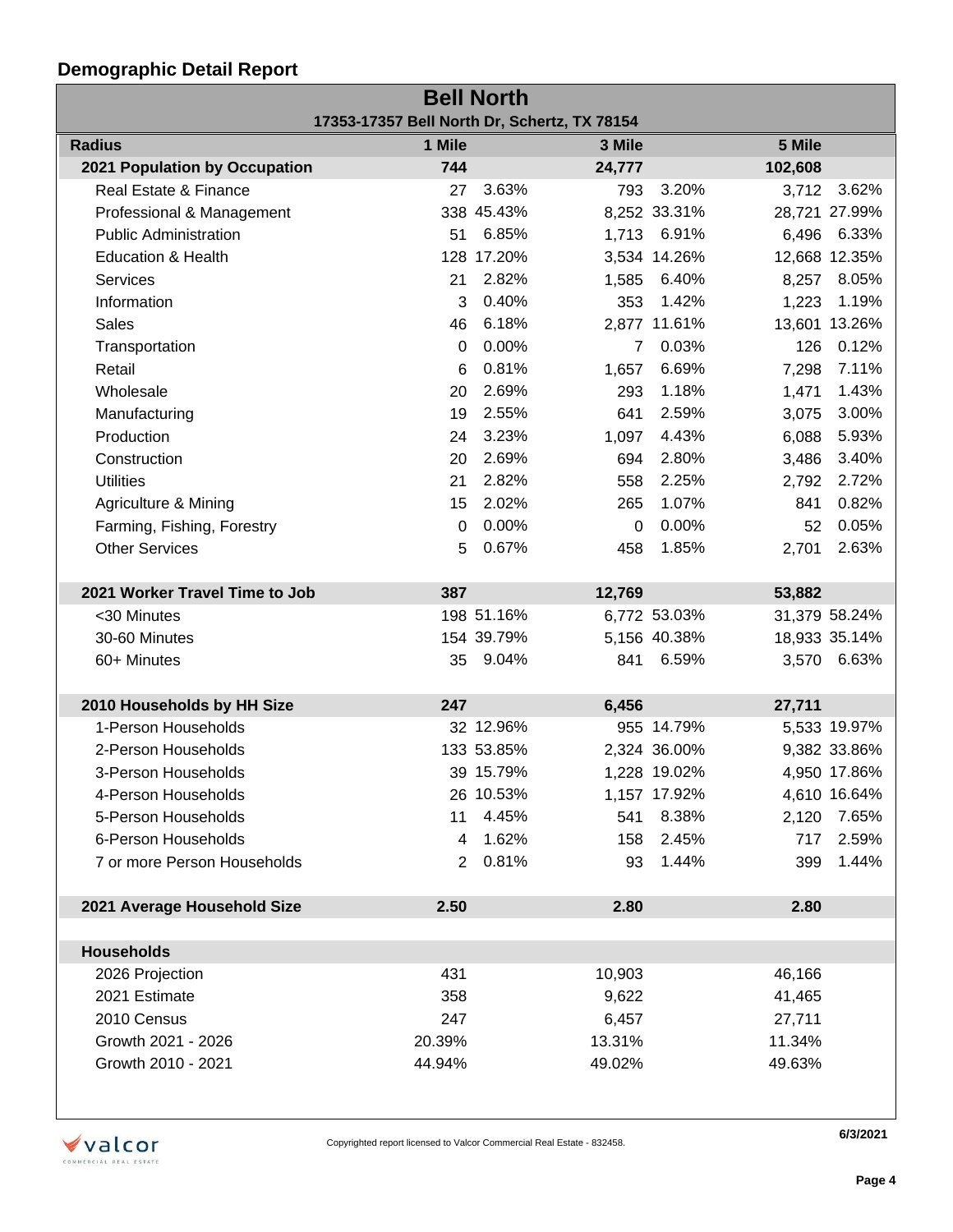| <b>Bell North</b>                            |                |            |                |              |         |               |  |
|----------------------------------------------|----------------|------------|----------------|--------------|---------|---------------|--|
| 17353-17357 Bell North Dr, Schertz, TX 78154 |                |            |                |              |         |               |  |
| <b>Radius</b>                                | 1 Mile         |            | 3 Mile         |              | 5 Mile  |               |  |
| 2021 Population by Occupation                | 744            |            | 24,777         |              | 102,608 |               |  |
| Real Estate & Finance                        | 27             | 3.63%      | 793            | 3.20%        | 3,712   | 3.62%         |  |
| Professional & Management                    |                | 338 45.43% |                | 8,252 33.31% |         | 28,721 27.99% |  |
| <b>Public Administration</b>                 | 51             | 6.85%      |                | 1,713 6.91%  |         | 6,496 6.33%   |  |
| Education & Health                           |                | 128 17.20% |                | 3,534 14.26% |         | 12,668 12.35% |  |
| Services                                     | 21             | 2.82%      | 1,585          | 6.40%        | 8,257   | 8.05%         |  |
| Information                                  | 3              | 0.40%      | 353            | 1.42%        | 1,223   | 1.19%         |  |
| <b>Sales</b>                                 | 46             | 6.18%      |                | 2,877 11.61% |         | 13,601 13.26% |  |
| Transportation                               | $\Omega$       | 0.00%      | $\overline{7}$ | 0.03%        | 126     | 0.12%         |  |
| Retail                                       | 6              | 0.81%      | 1,657          | 6.69%        | 7,298   | 7.11%         |  |
| Wholesale                                    | 20             | 2.69%      | 293            | 1.18%        | 1,471   | 1.43%         |  |
| Manufacturing                                | 19             | 2.55%      | 641            | 2.59%        | 3,075   | 3.00%         |  |
| Production                                   | 24             | 3.23%      | 1,097          | 4.43%        | 6,088   | 5.93%         |  |
| Construction                                 | 20             | 2.69%      | 694            | 2.80%        | 3,486   | 3.40%         |  |
| <b>Utilities</b>                             | 21             | 2.82%      | 558            | 2.25%        | 2,792   | 2.72%         |  |
| Agriculture & Mining                         | 15             | 2.02%      | 265            | 1.07%        | 841     | 0.82%         |  |
| Farming, Fishing, Forestry                   | 0              | 0.00%      | $\Omega$       | 0.00%        | 52      | 0.05%         |  |
| <b>Other Services</b>                        | 5              | 0.67%      | 458            | 1.85%        | 2,701   | 2.63%         |  |
|                                              |                |            |                |              |         |               |  |
| 2021 Worker Travel Time to Job               | 387            |            | 12,769         |              | 53,882  |               |  |
| <30 Minutes                                  |                | 198 51.16% |                | 6,772 53.03% |         | 31,379 58.24% |  |
| 30-60 Minutes                                |                | 154 39.79% |                | 5,156 40.38% |         | 18,933 35.14% |  |
| 60+ Minutes                                  | 35             | 9.04%      | 841            | 6.59%        |         | 3,570 6.63%   |  |
|                                              |                |            |                |              |         |               |  |
| 2010 Households by HH Size                   | 247            |            | 6,456          |              | 27,711  |               |  |
| 1-Person Households                          |                | 32 12.96%  |                | 955 14.79%   |         | 5,533 19.97%  |  |
| 2-Person Households                          |                | 133 53.85% |                | 2,324 36.00% |         | 9,382 33.86%  |  |
| 3-Person Households                          |                | 39 15.79%  |                | 1,228 19.02% |         | 4,950 17.86%  |  |
| 4-Person Households                          |                | 26 10.53%  |                | 1,157 17.92% |         | 4,610 16.64%  |  |
| 5-Person Households                          | 11             | 4.45%      | 541            | 8.38%        | 2,120   | 7.65%         |  |
| 6-Person Households                          | 4              | 1.62%      | 158            | 2.45%        | 717     | 2.59%         |  |
| 7 or more Person Households                  | $\overline{2}$ | 0.81%      | 93             | 1.44%        | 399     | 1.44%         |  |
|                                              |                |            |                |              |         |               |  |
| 2021 Average Household Size                  | 2.50           |            | 2.80           |              | 2.80    |               |  |
|                                              |                |            |                |              |         |               |  |
| <b>Households</b>                            |                |            |                |              |         |               |  |
| 2026 Projection                              | 431            |            | 10,903         |              | 46,166  |               |  |
| 2021 Estimate                                | 358            |            | 9,622          |              | 41,465  |               |  |
| 2010 Census                                  | 247            |            | 6,457          |              | 27,711  |               |  |
| Growth 2021 - 2026                           | 20.39%         |            | 13.31%         |              | 11.34%  |               |  |
| Growth 2010 - 2021                           | 44.94%         |            | 49.02%         |              | 49.63%  |               |  |
|                                              |                |            |                |              |         |               |  |



**6/3/2021**